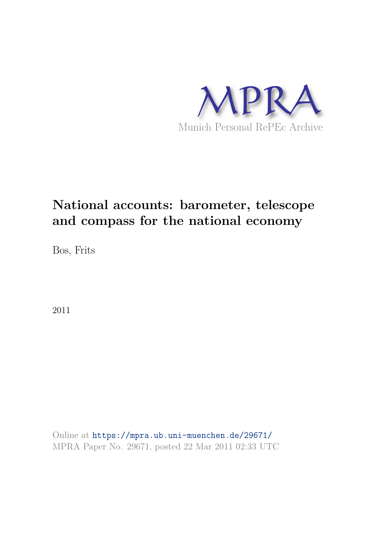

# **National accounts: barometer, telescope and compass for the national economy**

Bos, Frits

2011

Online at https://mpra.ub.uni-muenchen.de/29671/ MPRA Paper No. 29671, posted 22 Mar 2011 02:33 UTC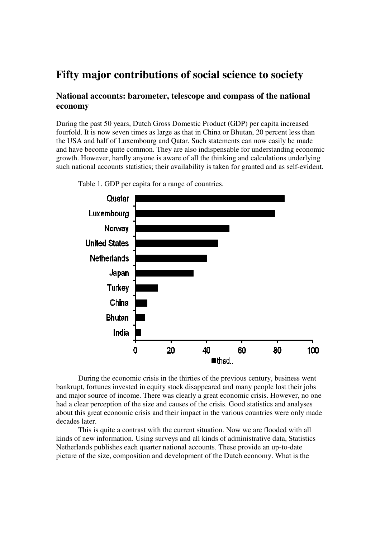# **Fifty major contributions of social science to society**

## **National accounts: barometer, telescope and compass of the national economy**

During the past 50 years, Dutch Gross Domestic Product (GDP) per capita increased fourfold. It is now seven times as large as that in China or Bhutan, 20 percent less than the USA and half of Luxembourg and Qatar. Such statements can now easily be made and have become quite common. They are also indispensable for understanding economic growth. However, hardly anyone is aware of all the thinking and calculations underlying such national accounts statistics; their availability is taken for granted and as self-evident.



Table 1. GDP per capita for a range of countries.

During the economic crisis in the thirties of the previous century, business went bankrupt, fortunes invested in equity stock disappeared and many people lost their jobs and major source of income. There was clearly a great economic crisis. However, no one had a clear perception of the size and causes of the crisis. Good statistics and analyses about this great economic crisis and their impact in the various countries were only made decades later.

This is quite a contrast with the current situation. Now we are flooded with all kinds of new information. Using surveys and all kinds of administrative data, Statistics Netherlands publishes each quarter national accounts. These provide an up-to-date picture of the size, composition and development of the Dutch economy. What is the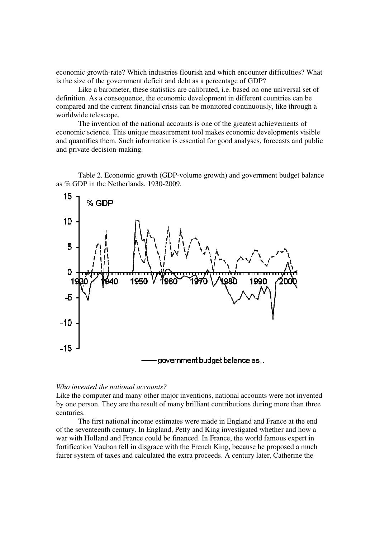economic growth-rate? Which industries flourish and which encounter difficulties? What is the size of the government deficit and debt as a percentage of GDP?

Like a barometer, these statistics are calibrated, i.e. based on one universal set of definition. As a consequence, the economic development in different countries can be compared and the current financial crisis can be monitored continuously, like through a worldwide telescope.

The invention of the national accounts is one of the greatest achievements of economic science. This unique measurement tool makes economic developments visible and quantifies them. Such information is essential for good analyses, forecasts and public and private decision-making.

Table 2. Economic growth (GDP-volume growth) and government budget balance as % GDP in the Netherlands, 1930-2009.



#### *Who invented the national accounts?*

Like the computer and many other major inventions, national accounts were not invented by one person. They are the result of many brilliant contributions during more than three centuries.

The first national income estimates were made in England and France at the end of the seventeenth century. In England, Petty and King investigated whether and how a war with Holland and France could be financed. In France, the world famous expert in fortification Vauban fell in disgrace with the French King, because he proposed a much fairer system of taxes and calculated the extra proceeds. A century later, Catherine the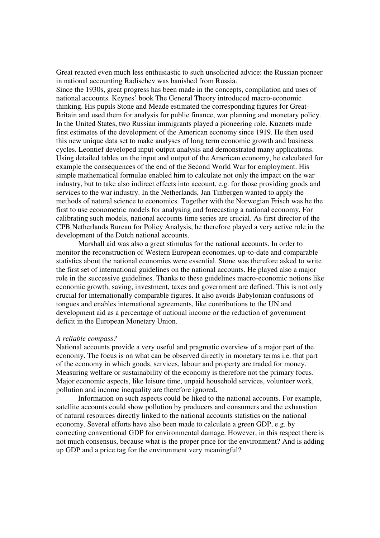Great reacted even much less enthusiastic to such unsolicited advice: the Russian pioneer in national accounting Radischev was banished from Russia.

Since the 1930s, great progress has been made in the concepts, compilation and uses of national accounts. Keynes' book The General Theory introduced macro-economic thinking. His pupils Stone and Meade estimated the corresponding figures for Great-Britain and used them for analysis for public finance, war planning and monetary policy. In the United States, two Russian immigrants played a pioneering role. Kuznets made first estimates of the development of the American economy since 1919. He then used this new unique data set to make analyses of long term economic growth and business cycles. Leontief developed input-output analysis and demonstrated many applications. Using detailed tables on the input and output of the American economy, he calculated for example the consequences of the end of the Second World War for employment. His simple mathematical formulae enabled him to calculate not only the impact on the war industry, but to take also indirect effects into account, e.g. for those providing goods and services to the war industry. In the Netherlands, Jan Tinbergen wanted to apply the methods of natural science to economics. Together with the Norwegian Frisch was he the first to use econometric models for analysing and forecasting a national economy. For calibrating such models, national accounts time series are crucial. As first director of the CPB Netherlands Bureau for Policy Analysis, he therefore played a very active role in the development of the Dutch national accounts.

Marshall aid was also a great stimulus for the national accounts. In order to monitor the reconstruction of Western European economies, up-to-date and comparable statistics about the national economies were essential. Stone was therefore asked to write the first set of international guidelines on the national accounts. He played also a major role in the successive guidelines. Thanks to these guidelines macro-economic notions like economic growth, saving, investment, taxes and government are defined. This is not only crucial for internationally comparable figures. It also avoids Babylonian confusions of tongues and enables international agreements, like contributions to the UN and development aid as a percentage of national income or the reduction of government deficit in the European Monetary Union.

#### *A reliable compass?*

National accounts provide a very useful and pragmatic overview of a major part of the economy. The focus is on what can be observed directly in monetary terms i.e. that part of the economy in which goods, services, labour and property are traded for money. Measuring welfare or sustainability of the economy is therefore not the primary focus. Major economic aspects, like leisure time, unpaid household services, volunteer work, pollution and income inequality are therefore ignored.

Information on such aspects could be liked to the national accounts. For example, satellite accounts could show pollution by producers and consumers and the exhaustion of natural resources directly linked to the national accounts statistics on the national economy. Several efforts have also been made to calculate a green GDP, e.g. by correcting conventional GDP for environmental damage. However, in this respect there is not much consensus, because what is the proper price for the environment? And is adding up GDP and a price tag for the environment very meaningful?